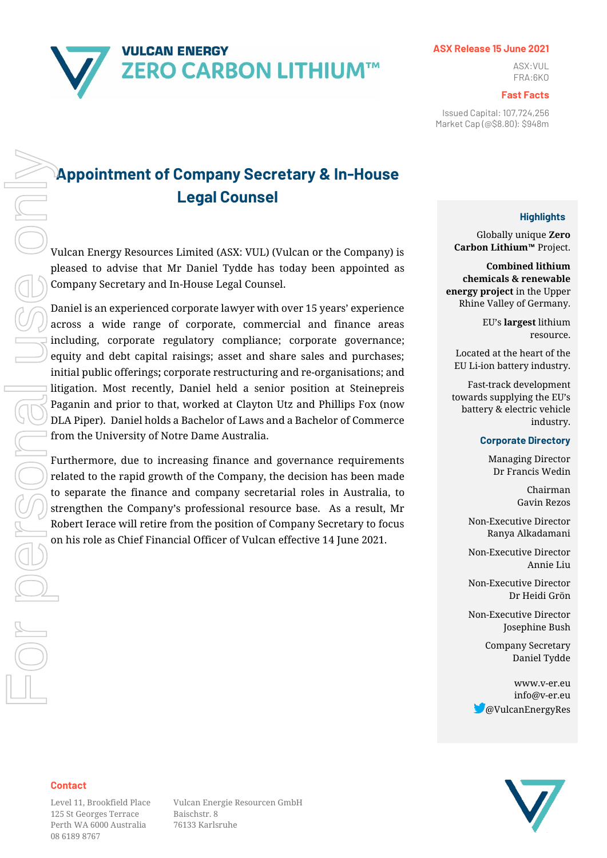# **VULCAN ENERGY ZERO CARBON LITHIUM™**

#### **ASX Release 15 June 2021**

ASX:VUL FRA:6KO

#### **Fast Facts**

Issued Capital: 107,724,256 Market Cap (@\$8.80): \$948m

# **Appointment of Company Secretary & In-House Legal Counsel**

Vulcan Energy Resources Limited (ASX: VUL) (Vulcan or the Company) is pleased to advise that Mr Daniel Tydde has today been appointed as Company Secretary and In-House Legal Counsel.

Daniel is an experienced corporate lawyer with over 15 years' experience across a wide range of corporate, commercial and finance areas including, corporate regulatory compliance; corporate governance; equity and debt capital raisings; asset and share sales and purchases; initial public offerings**;** corporate restructuring and re-organisations; and litigation. Most recently, Daniel held a senior position at Steinepreis Paganin and prior to that, worked at Clayton Utz and Phillips Fox (now DLA Piper). Daniel holds a Bachelor of Laws and a Bachelor of Commerce from the University of Notre Dame Australia.

Furthermore, due to increasing finance and governance requirements related to the rapid growth of the Company, the decision has been made to separate the finance and company secretarial roles in Australia, to strengthen the Company's professional resource base. As a result, Mr Robert Ierace will retire from the position of Company Secretary to focus on his role as Chief Financial Officer of Vulcan effective 14 June 2021.

### **Highlights**

Globally unique **Zero Carbon Lithium™** Project.

**Combined lithium chemicals & renewable energy project** in the Upper Rhine Valley of Germany.

> EU's **largest** lithium resource.

Located at the heart of the EU Li-ion battery industry.

Fast-track development towards supplying the EU's battery & electric vehicle industry.

#### **Corporate Directory**

Managing Director Dr Francis Wedin

> Chairman Gavin Rezos

Non-Executive Director Ranya Alkadamani

Non-Executive Director Annie Liu

Non-Executive Director Dr Heidi Grön

Non-Executive Director Josephine Bush

> Company Secretary Daniel Tydde

www.v-er.eu info@v-er.eu @VulcanEnergyRes



#### **Contact**

125 St Georges Terrace Baischstr. 8 Perth WA 6000 Australia 76133 Karlsruhe 08 6189 8767

Level 11, Brookfield Place Vulcan Energie Resourcen GmbH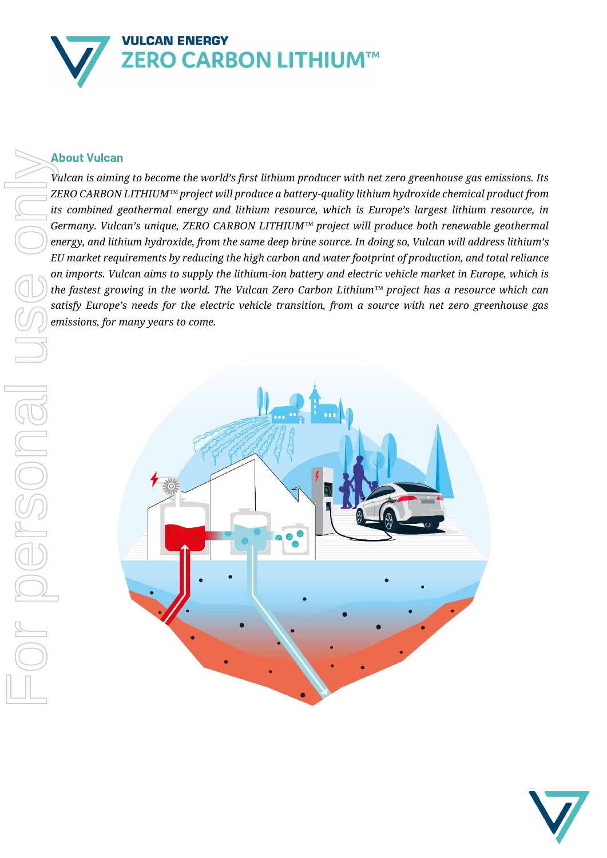

# **About Vulcan**

*Vulcan is aiming to become the world's first lithium producer with net zero greenhouse gas emissions. Its ZERO CARBON LITHIUM™ project will produce a battery-quality lithium hydroxide chemical product from its combined geothermal energy and lithium resource, which is Europe's largest lithium resource, in Germany. Vulcan's unique, ZERO CARBON LITHIUM™ project will produce both renewable geothermal energy, and lithium hydroxide, from the same deep brine source. In doing so, Vulcan will address lithium's EU market requirements by reducing the high carbon and water footprint of production, and total reliance on imports. Vulcan aims to supply the lithium-ion battery and electric vehicle market in Europe, which is the fastest growing in the world. The Vulcan Zero Carbon Lithium™ project has a resource which can satisfy Europe's needs for the electric vehicle transition, from a source with net zero greenhouse gas*